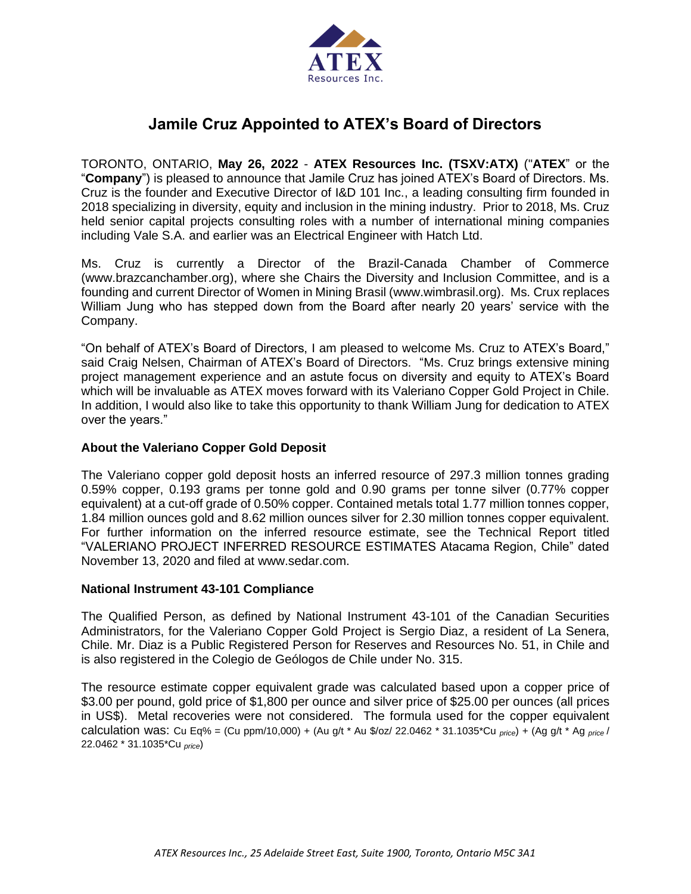

# **Jamile Cruz Appointed to ATEX's Board of Directors**

TORONTO, ONTARIO, **May 26, 2022** - **ATEX Resources Inc. (TSXV:ATX)** ("**ATEX**" or the "**Company**") is pleased to announce that Jamile Cruz has joined ATEX's Board of Directors. Ms. Cruz is the founder and Executive Director of I&D 101 Inc., a leading consulting firm founded in 2018 specializing in diversity, equity and inclusion in the mining industry. Prior to 2018, Ms. Cruz held senior capital projects consulting roles with a number of international mining companies including Vale S.A. and earlier was an Electrical Engineer with Hatch Ltd.

Ms. Cruz is currently a Director of the Brazil-Canada Chamber of Commerce (www.brazcanchamber.org), where she Chairs the Diversity and Inclusion Committee, and is a founding and current Director of Women in Mining Brasil (www.wimbrasil.org). Ms. Crux replaces William Jung who has stepped down from the Board after nearly 20 years' service with the Company.

"On behalf of ATEX's Board of Directors, I am pleased to welcome Ms. Cruz to ATEX's Board," said Craig Nelsen, Chairman of ATEX's Board of Directors. "Ms. Cruz brings extensive mining project management experience and an astute focus on diversity and equity to ATEX's Board which will be invaluable as ATEX moves forward with its Valeriano Copper Gold Project in Chile. In addition, I would also like to take this opportunity to thank William Jung for dedication to ATEX over the years."

# **About the Valeriano Copper Gold Deposit**

The Valeriano copper gold deposit hosts an inferred resource of 297.3 million tonnes grading 0.59% copper, 0.193 grams per tonne gold and 0.90 grams per tonne silver (0.77% copper equivalent) at a cut-off grade of 0.50% copper. Contained metals total 1.77 million tonnes copper, 1.84 million ounces gold and 8.62 million ounces silver for 2.30 million tonnes copper equivalent. For further information on the inferred resource estimate, see the Technical Report titled "VALERIANO PROJECT INFERRED RESOURCE ESTIMATES Atacama Region, Chile" dated November 13, 2020 and filed at www.sedar.com.

## **National Instrument 43-101 Compliance**

The Qualified Person, as defined by National Instrument 43-101 of the Canadian Securities Administrators, for the Valeriano Copper Gold Project is Sergio Diaz, a resident of La Senera, Chile. Mr. Diaz is a Public Registered Person for Reserves and Resources No. 51, in Chile and is also registered in the Colegio de Geólogos de Chile under No. 315.

The resource estimate copper equivalent grade was calculated based upon a copper price of \$3.00 per pound, gold price of \$1,800 per ounce and silver price of \$25.00 per ounces (all prices in US\$). Metal recoveries were not considered. The formula used for the copper equivalent calculation was: Cu Eq% = (Cu ppm/10,000) + (Au g/t \* Au \$/oz/ 22.0462 \* 31.1035\*Cu *price*) + (Ag g/t \* Ag *price* / 22.0462 \* 31.1035\*Cu *price*)